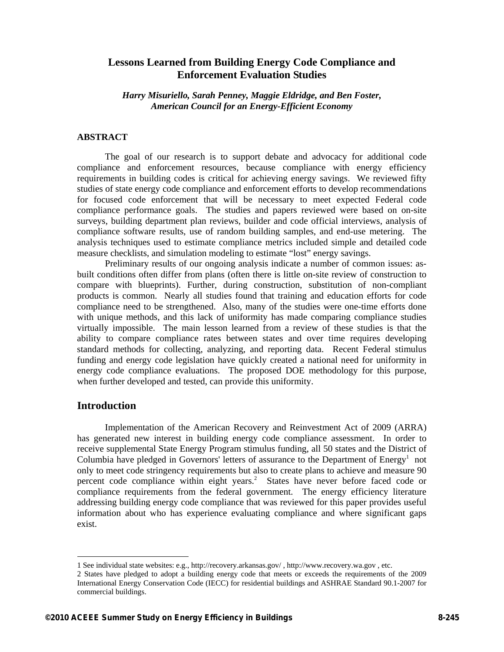# **Lessons Learned from Building Energy Code Compliance and Enforcement Evaluation Studies**

*Harry Misuriello, Sarah Penney, Maggie Eldridge, and Ben Foster, American Council for an Energy-Efficient Economy* 

### **ABSTRACT**

The goal of our research is to support debate and advocacy for additional code compliance and enforcement resources, because compliance with energy efficiency requirements in building codes is critical for achieving energy savings. We reviewed fifty studies of state energy code compliance and enforcement efforts to develop recommendations for focused code enforcement that will be necessary to meet expected Federal code compliance performance goals. The studies and papers reviewed were based on on-site surveys, building department plan reviews, builder and code official interviews, analysis of compliance software results, use of random building samples, and end-use metering. The analysis techniques used to estimate compliance metrics included simple and detailed code measure checklists, and simulation modeling to estimate "lost" energy savings.

Preliminary results of our ongoing analysis indicate a number of common issues: asbuilt conditions often differ from plans (often there is little on-site review of construction to compare with blueprints). Further, during construction, substitution of non-compliant products is common. Nearly all studies found that training and education efforts for code compliance need to be strengthened. Also, many of the studies were one-time efforts done with unique methods, and this lack of uniformity has made comparing compliance studies virtually impossible. The main lesson learned from a review of these studies is that the ability to compare compliance rates between states and over time requires developing standard methods for collecting, analyzing, and reporting data. Recent Federal stimulus funding and energy code legislation have quickly created a national need for uniformity in energy code compliance evaluations. The proposed DOE methodology for this purpose, when further developed and tested, can provide this uniformity.

## **Introduction**

-

Implementation of the American Recovery and Reinvestment Act of 2009 (ARRA) has generated new interest in building energy code compliance assessment. In order to receive supplemental State Energy Program stimulus funding, all 50 states and the District of Columbia have pledged in Governors' letters of assurance to the Department of  $Energy<sup>1</sup>$  not only to meet code stringency requirements but also to create plans to achieve and measure 90 percent code compliance within eight years.<sup>2</sup> States have never before faced code or compliance requirements from the federal government. The energy efficiency literature addressing building energy code compliance that was reviewed for this paper provides useful information about who has experience evaluating compliance and where significant gaps exist.

<sup>1</sup> See individual state websites: e.g., http://recovery.arkansas.gov/ , http://www.recovery.wa.gov , etc.

<sup>2</sup> States have pledged to adopt a building energy code that meets or exceeds the requirements of the 2009 International Energy Conservation Code (IECC) for residential buildings and ASHRAE Standard 90.1-2007 for commercial buildings.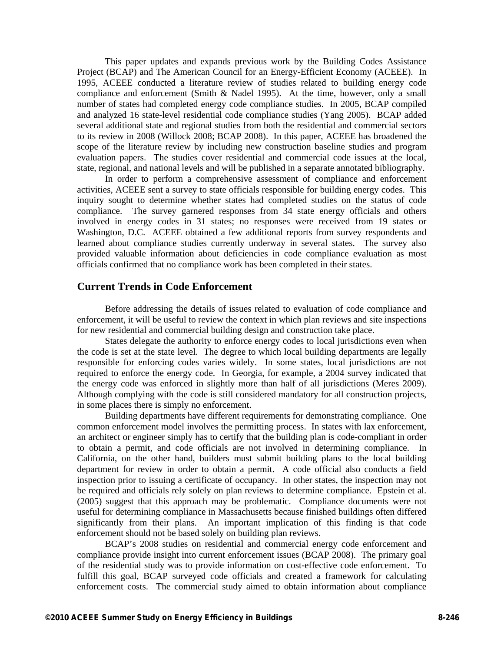This paper updates and expands previous work by the Building Codes Assistance Project (BCAP) and The American Council for an Energy-Efficient Economy (ACEEE). In 1995, ACEEE conducted a literature review of studies related to building energy code compliance and enforcement (Smith & Nadel 1995). At the time, however, only a small number of states had completed energy code compliance studies. In 2005, BCAP compiled and analyzed 16 state-level residential code compliance studies (Yang 2005). BCAP added several additional state and regional studies from both the residential and commercial sectors to its review in 2008 (Willock 2008; BCAP 2008). In this paper, ACEEE has broadened the scope of the literature review by including new construction baseline studies and program evaluation papers. The studies cover residential and commercial code issues at the local, state, regional, and national levels and will be published in a separate annotated bibliography.

In order to perform a comprehensive assessment of compliance and enforcement activities, ACEEE sent a survey to state officials responsible for building energy codes. This inquiry sought to determine whether states had completed studies on the status of code compliance. The survey garnered responses from 34 state energy officials and others involved in energy codes in 31 states; no responses were received from 19 states or Washington, D.C. ACEEE obtained a few additional reports from survey respondents and learned about compliance studies currently underway in several states. The survey also provided valuable information about deficiencies in code compliance evaluation as most officials confirmed that no compliance work has been completed in their states.

## **Current Trends in Code Enforcement**

Before addressing the details of issues related to evaluation of code compliance and enforcement, it will be useful to review the context in which plan reviews and site inspections for new residential and commercial building design and construction take place.

States delegate the authority to enforce energy codes to local jurisdictions even when the code is set at the state level. The degree to which local building departments are legally responsible for enforcing codes varies widely. In some states, local jurisdictions are not required to enforce the energy code. In Georgia, for example, a 2004 survey indicated that the energy code was enforced in slightly more than half of all jurisdictions (Meres 2009). Although complying with the code is still considered mandatory for all construction projects, in some places there is simply no enforcement.

Building departments have different requirements for demonstrating compliance. One common enforcement model involves the permitting process. In states with lax enforcement, an architect or engineer simply has to certify that the building plan is code-compliant in order to obtain a permit, and code officials are not involved in determining compliance. In California, on the other hand, builders must submit building plans to the local building department for review in order to obtain a permit. A code official also conducts a field inspection prior to issuing a certificate of occupancy. In other states, the inspection may not be required and officials rely solely on plan reviews to determine compliance. Epstein et al. (2005) suggest that this approach may be problematic. Compliance documents were not useful for determining compliance in Massachusetts because finished buildings often differed significantly from their plans. An important implication of this finding is that code enforcement should not be based solely on building plan reviews.

BCAP's 2008 studies on residential and commercial energy code enforcement and compliance provide insight into current enforcement issues (BCAP 2008). The primary goal of the residential study was to provide information on cost-effective code enforcement. To fulfill this goal, BCAP surveyed code officials and created a framework for calculating enforcement costs. The commercial study aimed to obtain information about compliance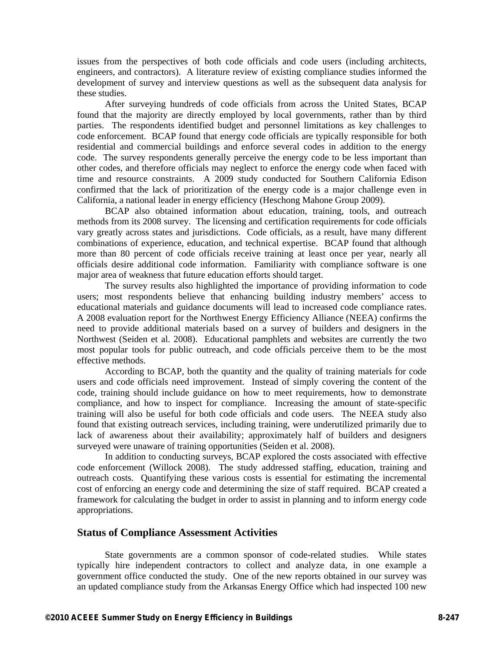issues from the perspectives of both code officials and code users (including architects, engineers, and contractors). A literature review of existing compliance studies informed the development of survey and interview questions as well as the subsequent data analysis for these studies.

After surveying hundreds of code officials from across the United States, BCAP found that the majority are directly employed by local governments, rather than by third parties. The respondents identified budget and personnel limitations as key challenges to code enforcement. BCAP found that energy code officials are typically responsible for both residential and commercial buildings and enforce several codes in addition to the energy code. The survey respondents generally perceive the energy code to be less important than other codes, and therefore officials may neglect to enforce the energy code when faced with time and resource constraints. A 2009 study conducted for Southern California Edison confirmed that the lack of prioritization of the energy code is a major challenge even in California, a national leader in energy efficiency (Heschong Mahone Group 2009).

BCAP also obtained information about education, training, tools, and outreach methods from its 2008 survey. The licensing and certification requirements for code officials vary greatly across states and jurisdictions. Code officials, as a result, have many different combinations of experience, education, and technical expertise. BCAP found that although more than 80 percent of code officials receive training at least once per year, nearly all officials desire additional code information. Familiarity with compliance software is one major area of weakness that future education efforts should target.

The survey results also highlighted the importance of providing information to code users; most respondents believe that enhancing building industry members' access to educational materials and guidance documents will lead to increased code compliance rates. A 2008 evaluation report for the Northwest Energy Efficiency Alliance (NEEA) confirms the need to provide additional materials based on a survey of builders and designers in the Northwest (Seiden et al. 2008). Educational pamphlets and websites are currently the two most popular tools for public outreach, and code officials perceive them to be the most effective methods.

According to BCAP, both the quantity and the quality of training materials for code users and code officials need improvement. Instead of simply covering the content of the code, training should include guidance on how to meet requirements, how to demonstrate compliance, and how to inspect for compliance. Increasing the amount of state-specific training will also be useful for both code officials and code users. The NEEA study also found that existing outreach services, including training, were underutilized primarily due to lack of awareness about their availability; approximately half of builders and designers surveyed were unaware of training opportunities (Seiden et al. 2008).

In addition to conducting surveys, BCAP explored the costs associated with effective code enforcement (Willock 2008). The study addressed staffing, education, training and outreach costs. Quantifying these various costs is essential for estimating the incremental cost of enforcing an energy code and determining the size of staff required. BCAP created a framework for calculating the budget in order to assist in planning and to inform energy code appropriations.

### **Status of Compliance Assessment Activities**

State governments are a common sponsor of code-related studies. While states typically hire independent contractors to collect and analyze data, in one example a government office conducted the study. One of the new reports obtained in our survey was an updated compliance study from the Arkansas Energy Office which had inspected 100 new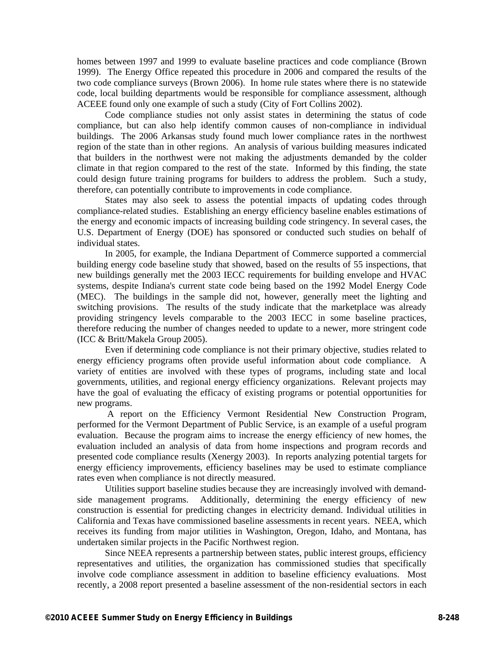homes between 1997 and 1999 to evaluate baseline practices and code compliance (Brown 1999). The Energy Office repeated this procedure in 2006 and compared the results of the two code compliance surveys (Brown 2006). In home rule states where there is no statewide code, local building departments would be responsible for compliance assessment, although ACEEE found only one example of such a study (City of Fort Collins 2002).

Code compliance studies not only assist states in determining the status of code compliance, but can also help identify common causes of non-compliance in individual buildings. The 2006 Arkansas study found much lower compliance rates in the northwest region of the state than in other regions. An analysis of various building measures indicated that builders in the northwest were not making the adjustments demanded by the colder climate in that region compared to the rest of the state. Informed by this finding, the state could design future training programs for builders to address the problem. Such a study, therefore, can potentially contribute to improvements in code compliance.

States may also seek to assess the potential impacts of updating codes through compliance-related studies. Establishing an energy efficiency baseline enables estimations of the energy and economic impacts of increasing building code stringency. In several cases, the U.S. Department of Energy (DOE) has sponsored or conducted such studies on behalf of individual states.

In 2005, for example, the Indiana Department of Commerce supported a commercial building energy code baseline study that showed, based on the results of 55 inspections, that new buildings generally met the 2003 IECC requirements for building envelope and HVAC systems, despite Indiana's current state code being based on the 1992 Model Energy Code (MEC). The buildings in the sample did not, however, generally meet the lighting and switching provisions. The results of the study indicate that the marketplace was already providing stringency levels comparable to the 2003 IECC in some baseline practices, therefore reducing the number of changes needed to update to a newer, more stringent code (ICC & Britt/Makela Group 2005).

Even if determining code compliance is not their primary objective, studies related to energy efficiency programs often provide useful information about code compliance. A variety of entities are involved with these types of programs, including state and local governments, utilities, and regional energy efficiency organizations. Relevant projects may have the goal of evaluating the efficacy of existing programs or potential opportunities for new programs.

 A report on the Efficiency Vermont Residential New Construction Program, performed for the Vermont Department of Public Service, is an example of a useful program evaluation. Because the program aims to increase the energy efficiency of new homes, the evaluation included an analysis of data from home inspections and program records and presented code compliance results (Xenergy 2003). In reports analyzing potential targets for energy efficiency improvements, efficiency baselines may be used to estimate compliance rates even when compliance is not directly measured.

Utilities support baseline studies because they are increasingly involved with demandside management programs. Additionally, determining the energy efficiency of new construction is essential for predicting changes in electricity demand. Individual utilities in California and Texas have commissioned baseline assessments in recent years. NEEA, which receives its funding from major utilities in Washington, Oregon, Idaho, and Montana, has undertaken similar projects in the Pacific Northwest region.

Since NEEA represents a partnership between states, public interest groups, efficiency representatives and utilities, the organization has commissioned studies that specifically involve code compliance assessment in addition to baseline efficiency evaluations. Most recently, a 2008 report presented a baseline assessment of the non-residential sectors in each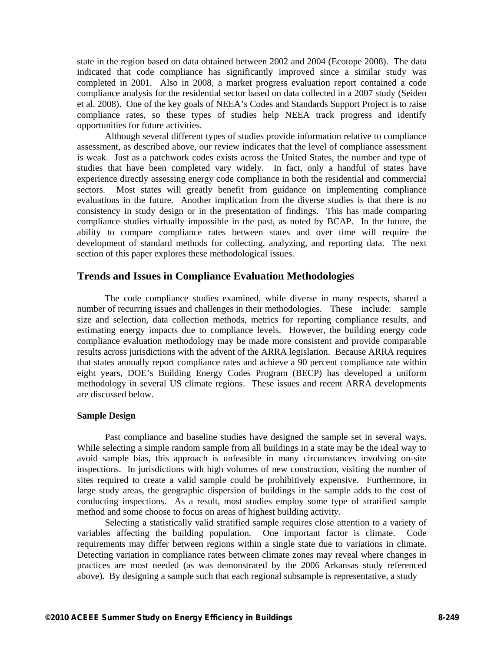state in the region based on data obtained between 2002 and 2004 (Ecotope 2008). The data indicated that code compliance has significantly improved since a similar study was completed in 2001. Also in 2008, a market progress evaluation report contained a code compliance analysis for the residential sector based on data collected in a 2007 study (Seiden et al. 2008). One of the key goals of NEEA's Codes and Standards Support Project is to raise compliance rates, so these types of studies help NEEA track progress and identify opportunities for future activities.

Although several different types of studies provide information relative to compliance assessment, as described above, our review indicates that the level of compliance assessment is weak. Just as a patchwork codes exists across the United States, the number and type of studies that have been completed vary widely. In fact, only a handful of states have experience directly assessing energy code compliance in both the residential and commercial sectors. Most states will greatly benefit from guidance on implementing compliance evaluations in the future. Another implication from the diverse studies is that there is no consistency in study design or in the presentation of findings. This has made comparing compliance studies virtually impossible in the past, as noted by BCAP. In the future, the ability to compare compliance rates between states and over time will require the development of standard methods for collecting, analyzing, and reporting data. The next section of this paper explores these methodological issues.

## **Trends and Issues in Compliance Evaluation Methodologies**

The code compliance studies examined, while diverse in many respects, shared a number of recurring issues and challenges in their methodologies. These include: sample size and selection, data collection methods, metrics for reporting compliance results, and estimating energy impacts due to compliance levels. However, the building energy code compliance evaluation methodology may be made more consistent and provide comparable results across jurisdictions with the advent of the ARRA legislation. Because ARRA requires that states annually report compliance rates and achieve a 90 percent compliance rate within eight years, DOE's Building Energy Codes Program (BECP) has developed a uniform methodology in several US climate regions. These issues and recent ARRA developments are discussed below.

#### **Sample Design**

Past compliance and baseline studies have designed the sample set in several ways. While selecting a simple random sample from all buildings in a state may be the ideal way to avoid sample bias, this approach is unfeasible in many circumstances involving on-site inspections. In jurisdictions with high volumes of new construction, visiting the number of sites required to create a valid sample could be prohibitively expensive. Furthermore, in large study areas, the geographic dispersion of buildings in the sample adds to the cost of conducting inspections. As a result, most studies employ some type of stratified sample method and some choose to focus on areas of highest building activity.

Selecting a statistically valid stratified sample requires close attention to a variety of variables affecting the building population. One important factor is climate. Code requirements may differ between regions within a single state due to variations in climate. Detecting variation in compliance rates between climate zones may reveal where changes in practices are most needed (as was demonstrated by the 2006 Arkansas study referenced above). By designing a sample such that each regional subsample is representative, a study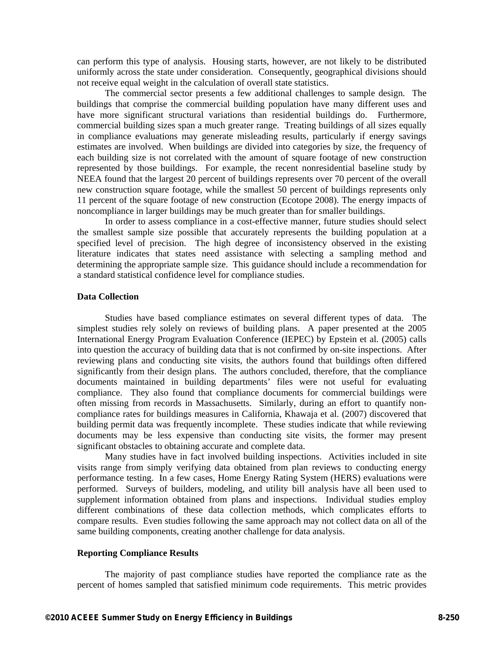can perform this type of analysis. Housing starts, however, are not likely to be distributed uniformly across the state under consideration. Consequently, geographical divisions should not receive equal weight in the calculation of overall state statistics.

The commercial sector presents a few additional challenges to sample design. The buildings that comprise the commercial building population have many different uses and have more significant structural variations than residential buildings do. Furthermore, commercial building sizes span a much greater range. Treating buildings of all sizes equally in compliance evaluations may generate misleading results, particularly if energy savings estimates are involved. When buildings are divided into categories by size, the frequency of each building size is not correlated with the amount of square footage of new construction represented by those buildings. For example, the recent nonresidential baseline study by NEEA found that the largest 20 percent of buildings represents over 70 percent of the overall new construction square footage, while the smallest 50 percent of buildings represents only 11 percent of the square footage of new construction (Ecotope 2008). The energy impacts of noncompliance in larger buildings may be much greater than for smaller buildings.

In order to assess compliance in a cost-effective manner, future studies should select the smallest sample size possible that accurately represents the building population at a specified level of precision. The high degree of inconsistency observed in the existing literature indicates that states need assistance with selecting a sampling method and determining the appropriate sample size. This guidance should include a recommendation for a standard statistical confidence level for compliance studies.

### **Data Collection**

Studies have based compliance estimates on several different types of data. The simplest studies rely solely on reviews of building plans. A paper presented at the 2005 International Energy Program Evaluation Conference (IEPEC) by Epstein et al. (2005) calls into question the accuracy of building data that is not confirmed by on-site inspections. After reviewing plans and conducting site visits, the authors found that buildings often differed significantly from their design plans. The authors concluded, therefore, that the compliance documents maintained in building departments' files were not useful for evaluating compliance. They also found that compliance documents for commercial buildings were often missing from records in Massachusetts. Similarly, during an effort to quantify noncompliance rates for buildings measures in California, Khawaja et al. (2007) discovered that building permit data was frequently incomplete. These studies indicate that while reviewing documents may be less expensive than conducting site visits, the former may present significant obstacles to obtaining accurate and complete data.

Many studies have in fact involved building inspections. Activities included in site visits range from simply verifying data obtained from plan reviews to conducting energy performance testing. In a few cases, Home Energy Rating System (HERS) evaluations were performed. Surveys of builders, modeling, and utility bill analysis have all been used to supplement information obtained from plans and inspections. Individual studies employ different combinations of these data collection methods, which complicates efforts to compare results. Even studies following the same approach may not collect data on all of the same building components, creating another challenge for data analysis.

### **Reporting Compliance Results**

The majority of past compliance studies have reported the compliance rate as the percent of homes sampled that satisfied minimum code requirements. This metric provides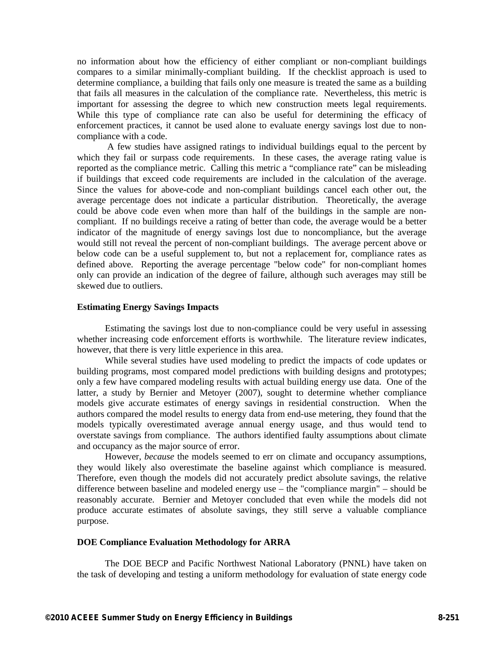no information about how the efficiency of either compliant or non-compliant buildings compares to a similar minimally-compliant building. If the checklist approach is used to determine compliance, a building that fails only one measure is treated the same as a building that fails all measures in the calculation of the compliance rate. Nevertheless, this metric is important for assessing the degree to which new construction meets legal requirements. While this type of compliance rate can also be useful for determining the efficacy of enforcement practices, it cannot be used alone to evaluate energy savings lost due to noncompliance with a code.

 A few studies have assigned ratings to individual buildings equal to the percent by which they fail or surpass code requirements. In these cases, the average rating value is reported as the compliance metric. Calling this metric a "compliance rate" can be misleading if buildings that exceed code requirements are included in the calculation of the average. Since the values for above-code and non-compliant buildings cancel each other out, the average percentage does not indicate a particular distribution. Theoretically, the average could be above code even when more than half of the buildings in the sample are noncompliant. If no buildings receive a rating of better than code, the average would be a better indicator of the magnitude of energy savings lost due to noncompliance, but the average would still not reveal the percent of non-compliant buildings. The average percent above or below code can be a useful supplement to, but not a replacement for, compliance rates as defined above. Reporting the average percentage "below code" for non-compliant homes only can provide an indication of the degree of failure, although such averages may still be skewed due to outliers.

#### **Estimating Energy Savings Impacts**

Estimating the savings lost due to non-compliance could be very useful in assessing whether increasing code enforcement efforts is worthwhile. The literature review indicates, however, that there is very little experience in this area.

While several studies have used modeling to predict the impacts of code updates or building programs, most compared model predictions with building designs and prototypes; only a few have compared modeling results with actual building energy use data. One of the latter, a study by Bernier and Metoyer (2007), sought to determine whether compliance models give accurate estimates of energy savings in residential construction. When the authors compared the model results to energy data from end-use metering, they found that the models typically overestimated average annual energy usage, and thus would tend to overstate savings from compliance. The authors identified faulty assumptions about climate and occupancy as the major source of error.

However, *because* the models seemed to err on climate and occupancy assumptions, they would likely also overestimate the baseline against which compliance is measured. Therefore, even though the models did not accurately predict absolute savings, the relative difference between baseline and modeled energy use – the "compliance margin" – should be reasonably accurate. Bernier and Metoyer concluded that even while the models did not produce accurate estimates of absolute savings, they still serve a valuable compliance purpose.

#### **DOE Compliance Evaluation Methodology for ARRA**

The DOE BECP and Pacific Northwest National Laboratory (PNNL) have taken on the task of developing and testing a uniform methodology for evaluation of state energy code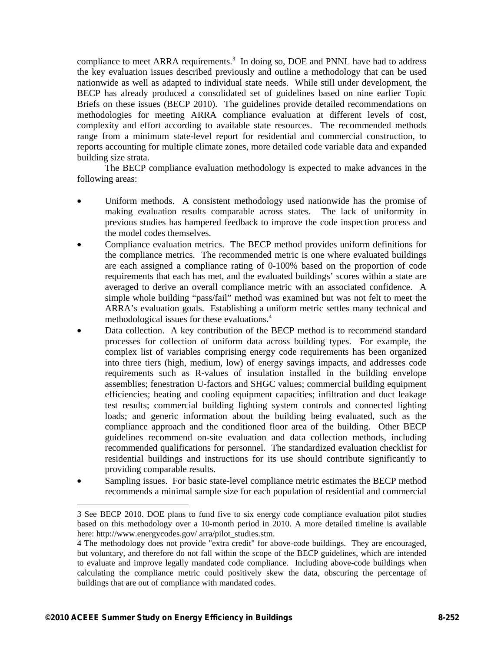compliance to meet ARRA requirements.<sup>3</sup> In doing so, DOE and PNNL have had to address the key evaluation issues described previously and outline a methodology that can be used nationwide as well as adapted to individual state needs. While still under development, the BECP has already produced a consolidated set of guidelines based on nine earlier Topic Briefs on these issues (BECP 2010). The guidelines provide detailed recommendations on methodologies for meeting ARRA compliance evaluation at different levels of cost, complexity and effort according to available state resources. The recommended methods range from a minimum state-level report for residential and commercial construction, to reports accounting for multiple climate zones, more detailed code variable data and expanded building size strata.

The BECP compliance evaluation methodology is expected to make advances in the following areas:

- Uniform methods. A consistent methodology used nationwide has the promise of making evaluation results comparable across states. The lack of uniformity in previous studies has hampered feedback to improve the code inspection process and the model codes themselves.
- Compliance evaluation metrics. The BECP method provides uniform definitions for the compliance metrics. The recommended metric is one where evaluated buildings are each assigned a compliance rating of 0-100% based on the proportion of code requirements that each has met, and the evaluated buildings' scores within a state are averaged to derive an overall compliance metric with an associated confidence. A simple whole building "pass/fail" method was examined but was not felt to meet the ARRA's evaluation goals. Establishing a uniform metric settles many technical and methodological issues for these evaluations.<sup>4</sup>
- Data collection. A key contribution of the BECP method is to recommend standard processes for collection of uniform data across building types. For example, the complex list of variables comprising energy code requirements has been organized into three tiers (high, medium, low) of energy savings impacts, and addresses code requirements such as R-values of insulation installed in the building envelope assemblies; fenestration U-factors and SHGC values; commercial building equipment efficiencies; heating and cooling equipment capacities; infiltration and duct leakage test results; commercial building lighting system controls and connected lighting loads; and generic information about the building being evaluated, such as the compliance approach and the conditioned floor area of the building. Other BECP guidelines recommend on-site evaluation and data collection methods, including recommended qualifications for personnel. The standardized evaluation checklist for residential buildings and instructions for its use should contribute significantly to providing comparable results.
- Sampling issues. For basic state-level compliance metric estimates the BECP method recommends a minimal sample size for each population of residential and commercial

-

<sup>3</sup> See BECP 2010. DOE plans to fund five to six energy code compliance evaluation pilot studies based on this methodology over a 10-month period in 2010. A more detailed timeline is available here: http://www.energycodes.gov/ arra/pilot\_studies.stm.

<sup>4</sup> The methodology does not provide "extra credit" for above-code buildings. They are encouraged, but voluntary, and therefore do not fall within the scope of the BECP guidelines, which are intended to evaluate and improve legally mandated code compliance. Including above-code buildings when calculating the compliance metric could positively skew the data, obscuring the percentage of buildings that are out of compliance with mandated codes.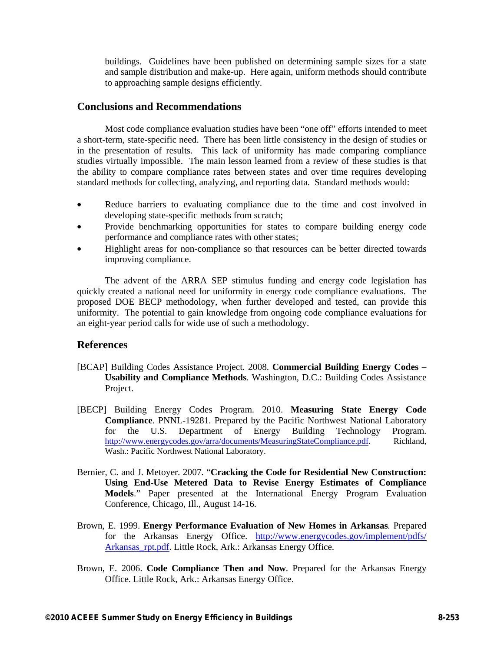buildings. Guidelines have been published on determining sample sizes for a state and sample distribution and make-up. Here again, uniform methods should contribute to approaching sample designs efficiently.

### **Conclusions and Recommendations**

Most code compliance evaluation studies have been "one off" efforts intended to meet a short-term, state-specific need. There has been little consistency in the design of studies or in the presentation of results. This lack of uniformity has made comparing compliance studies virtually impossible. The main lesson learned from a review of these studies is that the ability to compare compliance rates between states and over time requires developing standard methods for collecting, analyzing, and reporting data. Standard methods would:

- Reduce barriers to evaluating compliance due to the time and cost involved in developing state-specific methods from scratch;
- Provide benchmarking opportunities for states to compare building energy code performance and compliance rates with other states;
- Highlight areas for non-compliance so that resources can be better directed towards improving compliance.

The advent of the ARRA SEP stimulus funding and energy code legislation has quickly created a national need for uniformity in energy code compliance evaluations. The proposed DOE BECP methodology, when further developed and tested, can provide this uniformity. The potential to gain knowledge from ongoing code compliance evaluations for an eight-year period calls for wide use of such a methodology.

### **References**

- [BCAP] Building Codes Assistance Project. 2008. **Commercial Building Energy Codes Usability and Compliance Methods**. Washington, D.C.: Building Codes Assistance Project.
- [BECP] Building Energy Codes Program. 2010. **Measuring State Energy Code Compliance**. PNNL-19281. Prepared by the Pacific Northwest National Laboratory for the U.S. Department of Energy Building Technology Program. http://www.energycodes.gov/arra/documents/MeasuringStateCompliance.pdf. Richland, Wash.: Pacific Northwest National Laboratory.
- Bernier, C. and J. Metoyer. 2007. "**Cracking the Code for Residential New Construction: Using End-Use Metered Data to Revise Energy Estimates of Compliance Models**." Paper presented at the International Energy Program Evaluation Conference, Chicago, Ill., August 14-16.
- Brown, E. 1999. **Energy Performance Evaluation of New Homes in Arkansas***.* Prepared for the Arkansas Energy Office. http://www.energycodes.gov/implement/pdfs/ Arkansas\_rpt.pdf. Little Rock, Ark.: Arkansas Energy Office.
- Brown, E. 2006. **Code Compliance Then and Now**. Prepared for the Arkansas Energy Office. Little Rock, Ark.: Arkansas Energy Office.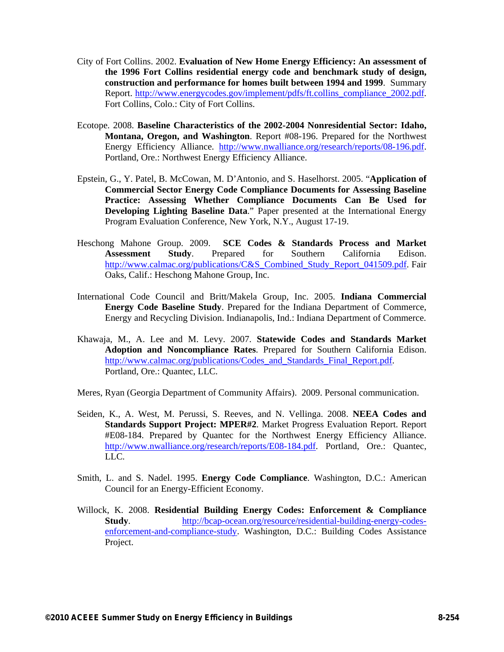- City of Fort Collins. 2002. **Evaluation of New Home Energy Efficiency: An assessment of the 1996 Fort Collins residential energy code and benchmark study of design, construction and performance for homes built between 1994 and 1999**. Summary Report. http://www.energycodes.gov/implement/pdfs/ft.collins\_compliance\_2002.pdf. Fort Collins, Colo.: City of Fort Collins.
- Ecotope. 2008. **Baseline Characteristics of the 2002-2004 Nonresidential Sector: Idaho, Montana, Oregon, and Washington**. Report #08-196. Prepared for the Northwest Energy Efficiency Alliance. http://www.nwalliance.org/research/reports/08-196.pdf. Portland, Ore.: Northwest Energy Efficiency Alliance.
- Epstein, G., Y. Patel, B. McCowan, M. D'Antonio, and S. Haselhorst. 2005. "**Application of Commercial Sector Energy Code Compliance Documents for Assessing Baseline Practice: Assessing Whether Compliance Documents Can Be Used for Developing Lighting Baseline Data**." Paper presented at the International Energy Program Evaluation Conference, New York, N.Y., August 17-19.
- Heschong Mahone Group. 2009. **SCE Codes & Standards Process and Market Assessment Study**. Prepared for Southern California Edison. http://www.calmac.org/publications/C&S\_Combined\_Study\_Report\_041509.pdf. Fair Oaks, Calif.: Heschong Mahone Group, Inc.
- International Code Council and Britt/Makela Group, Inc. 2005. **Indiana Commercial Energy Code Baseline Study**. Prepared for the Indiana Department of Commerce, Energy and Recycling Division. Indianapolis, Ind.: Indiana Department of Commerce.
- Khawaja, M., A. Lee and M. Levy. 2007. **Statewide Codes and Standards Market Adoption and Noncompliance Rates**. Prepared for Southern California Edison. http://www.calmac.org/publications/Codes\_and\_Standards\_Final\_Report.pdf. Portland, Ore.: Quantec, LLC.
- Meres, Ryan (Georgia Department of Community Affairs). 2009. Personal communication.
- Seiden, K., A. West, M. Perussi, S. Reeves, and N. Vellinga. 2008. **NEEA Codes and Standards Support Project: MPER#2**. Market Progress Evaluation Report. Report #E08-184. Prepared by Quantec for the Northwest Energy Efficiency Alliance. http://www.nwalliance.org/research/reports/E08-184.pdf. Portland, Ore.: Quantec, LLC.
- Smith, L. and S. Nadel. 1995. **Energy Code Compliance**. Washington, D.C.: American Council for an Energy-Efficient Economy.
- Willock, K. 2008. **Residential Building Energy Codes: Enforcement & Compliance Study**. http://bcap-ocean.org/resource/residential-building-energy-codesenforcement-and-compliance-study. Washington, D.C.: Building Codes Assistance Project.